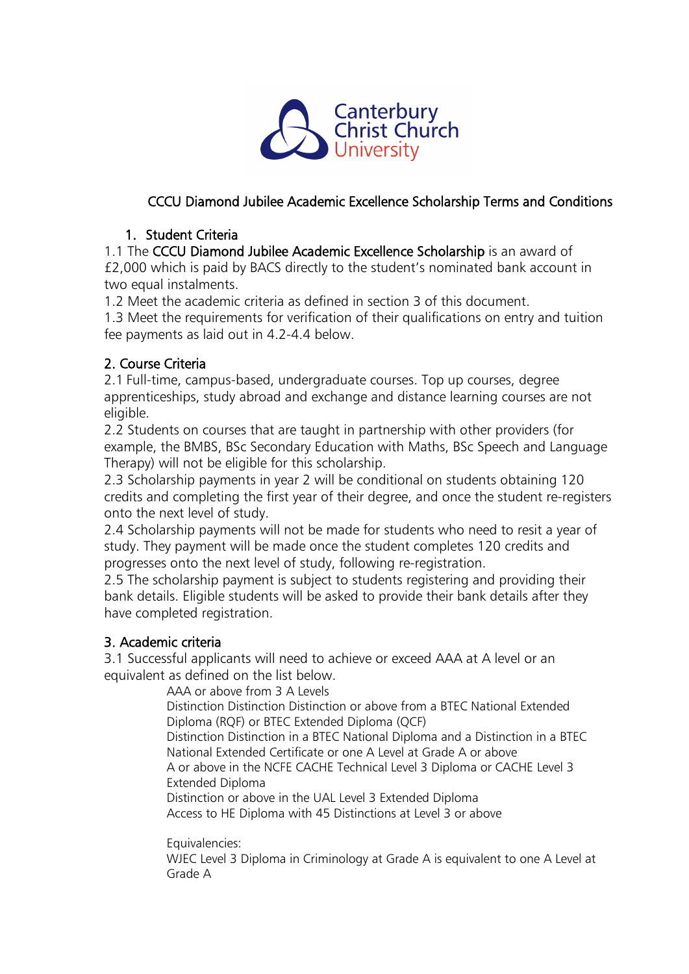

# CCCU Diamond Jubilee Academic Excellence Scholarship Terms and Conditions

### 1. Student Criteria

1.1 The CCCU Diamond Jubilee Academic Excellence Scholarship is an award of £2,000 which is paid by BACS directly to the student's nominated bank account in two equal instalments.

1.2 Meet the academic criteria as defined in section 3 of this document.

1.3 Meet the requirements for verification of their qualifications on entry and tuition fee payments as laid out in 4.2-4.4 below.

## 2. Course Criteria

2.1 Full-time, campus-based, undergraduate courses. Top up courses, degree apprenticeships, study abroad and exchange and distance learning courses are not eligible.

2.2 Students on courses that are taught in partnership with other providers (for example, the BMBS, BSc Secondary Education with Maths, BSc Speech and Language Therapy) will not be eligible for this scholarship.

2.3 Scholarship payments in year 2 will be conditional on students obtaining 120 credits and completing the first year of their degree, and once the student re-registers onto the next level of study.

2.4 Scholarship payments will not be made for students who need to resit a year of study. They payment will be made once the student completes 120 credits and progresses onto the next level of study, following re-registration.

2.5 The scholarship payment is subject to students registering and providing their bank details. Eligible students will be asked to provide their bank details after they have completed registration.

## 3. Academic criteria

3.1 Successful applicants will need to achieve or exceed AAA at A level or an equivalent as defined on the list below.

AAA or above from 3 A Levels Distinction Distinction Distinction or above from a BTEC National Extended Diploma (RQF) or BTEC Extended Diploma (QCF) Distinction Distinction in a BTEC National Diploma and a Distinction in a BTEC National Extended Certificate or one A Level at Grade A or above A or above in the NCFE CACHE Technical Level 3 Diploma or CACHE Level 3 Extended Diploma Distinction or above in the UAL Level 3 Extended Diploma Access to HE Diploma with 45 Distinctions at Level 3 or above

Equivalencies:

WJEC Level 3 Diploma in Criminology at Grade A is equivalent to one A Level at Grade A